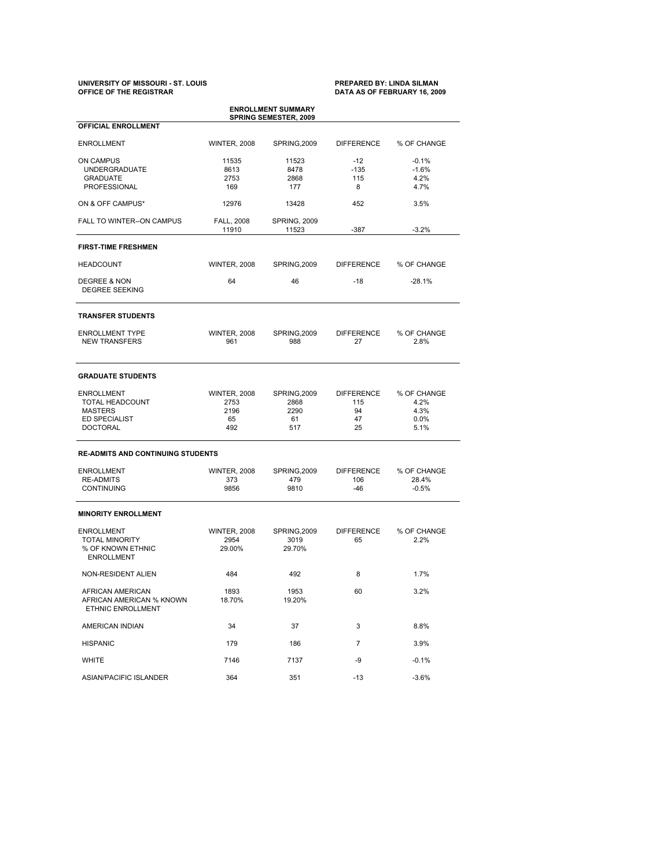# **UNIVERSITY OF MISSOURI - ST. LOUIS PREPARED BY: LINDA SILMAN OFFICE OF THE REGISTRAR DATA AS OF FEBRUARY 16, 2009**

| <b>ENROLLMENT SUMMARY</b><br><b>SPRING SEMESTER, 2009</b> |                            |                              |                         |                     |  |  |  |  |  |
|-----------------------------------------------------------|----------------------------|------------------------------|-------------------------|---------------------|--|--|--|--|--|
| <b>OFFICIAL ENROLLMENT</b>                                |                            |                              |                         |                     |  |  |  |  |  |
| <b>ENROLLMENT</b>                                         | <b>WINTER, 2008</b>        | SPRING, 2009                 | <b>DIFFERENCE</b>       | % OF CHANGE         |  |  |  |  |  |
| ON CAMPUS                                                 | 11535                      | 11523                        | $-12$                   | $-0.1%$             |  |  |  |  |  |
| <b>UNDERGRADUATE</b>                                      | 8613                       | 8478                         | $-135$                  | $-1.6%$             |  |  |  |  |  |
| <b>GRADUATE</b>                                           | 2753                       | 2868                         | 115                     | 4.2%                |  |  |  |  |  |
| PROFESSIONAL                                              | 169                        | 177                          | 8                       | 4.7%                |  |  |  |  |  |
| ON & OFF CAMPUS*                                          | 12976                      | 13428                        | 452                     | 3.5%                |  |  |  |  |  |
| FALL TO WINTER--ON CAMPUS                                 | <b>FALL, 2008</b><br>11910 | <b>SPRING, 2009</b><br>11523 | -387                    | $-3.2%$             |  |  |  |  |  |
| <b>FIRST-TIME FRESHMEN</b>                                |                            |                              |                         |                     |  |  |  |  |  |
| <b>HEADCOUNT</b>                                          | <b>WINTER, 2008</b>        | SPRING, 2009                 | <b>DIFFERENCE</b>       | % OF CHANGE         |  |  |  |  |  |
| DEGREE & NON<br><b>DEGREE SEEKING</b>                     | 64                         | 46                           | $-18$                   | $-28.1%$            |  |  |  |  |  |
| <b>TRANSFER STUDENTS</b>                                  |                            |                              |                         |                     |  |  |  |  |  |
| <b>ENROLLMENT TYPE</b><br><b>NEW TRANSFERS</b>            | <b>WINTER, 2008</b><br>961 | SPRING, 2009<br>988          | <b>DIFFERENCE</b><br>27 | % OF CHANGE<br>2.8% |  |  |  |  |  |
| <b>GRADUATE STUDENTS</b>                                  |                            |                              |                         |                     |  |  |  |  |  |
| <b>ENROLLMENT</b>                                         | <b>WINTER, 2008</b>        | SPRING, 2009                 | <b>DIFFERENCE</b>       | % OF CHANGE         |  |  |  |  |  |
| TOTAL HEADCOUNT                                           | 2753                       | 2868                         | 115                     | 4.2%                |  |  |  |  |  |
| <b>MASTERS</b>                                            | 2196                       | 2290                         | 94                      | 4.3%                |  |  |  |  |  |
| <b>ED SPECIALIST</b>                                      | 65                         | 61                           | 47                      | 0.0%                |  |  |  |  |  |
| <b>DOCTORAL</b>                                           | 492                        | 517                          | 25                      | 5.1%                |  |  |  |  |  |
| <b>RE-ADMITS AND CONTINUING STUDENTS</b>                  |                            |                              |                         |                     |  |  |  |  |  |
| <b>ENROLLMENT</b>                                         | <b>WINTER, 2008</b>        | SPRING, 2009                 | <b>DIFFERENCE</b>       | % OF CHANGE         |  |  |  |  |  |
| <b>RE-ADMITS</b>                                          | 373                        | 479                          | 106                     | 28.4%               |  |  |  |  |  |
| <b>CONTINUING</b>                                         | 9856                       | 9810                         | $-46$                   | $-0.5%$             |  |  |  |  |  |
| <b>MINORITY ENROLLMENT</b>                                |                            |                              |                         |                     |  |  |  |  |  |
| <b>ENROLLMENT</b>                                         | <b>WINTER, 2008</b>        | SPRING, 2009                 | <b>DIFFERENCE</b>       | % OF CHANGE         |  |  |  |  |  |
| <b>TOTAL MINORITY</b>                                     | 2954                       | 3019                         | 65                      | 2.2%                |  |  |  |  |  |
| % OF KNOWN ETHNIC                                         | 29.00%                     | 29.70%                       |                         |                     |  |  |  |  |  |
| <b>ENROLLMENT</b>                                         |                            |                              |                         |                     |  |  |  |  |  |
| NON-RESIDENT ALIEN                                        | 484                        | 492                          | 8                       | 1.7%                |  |  |  |  |  |
| <b>AFRICAN AMERICAN</b>                                   | 1893                       | 1953                         | 60                      | 3.2%                |  |  |  |  |  |
| AFRICAN AMERICAN % KNOWN<br>ETHNIC ENROLLMENT             | 18.70%                     | 19.20%                       |                         |                     |  |  |  |  |  |
| AMERICAN INDIAN                                           | 34                         | 37                           | 3                       | 8.8%                |  |  |  |  |  |
| <b>HISPANIC</b>                                           | 179                        | 186                          | $\overline{7}$          | 3.9%                |  |  |  |  |  |
| WHITE                                                     | 7146                       | 7137                         | -9                      | $-0.1%$             |  |  |  |  |  |
| ASIAN/PACIFIC ISLANDER                                    | 364                        | 351                          | $-13$                   | $-3.6%$             |  |  |  |  |  |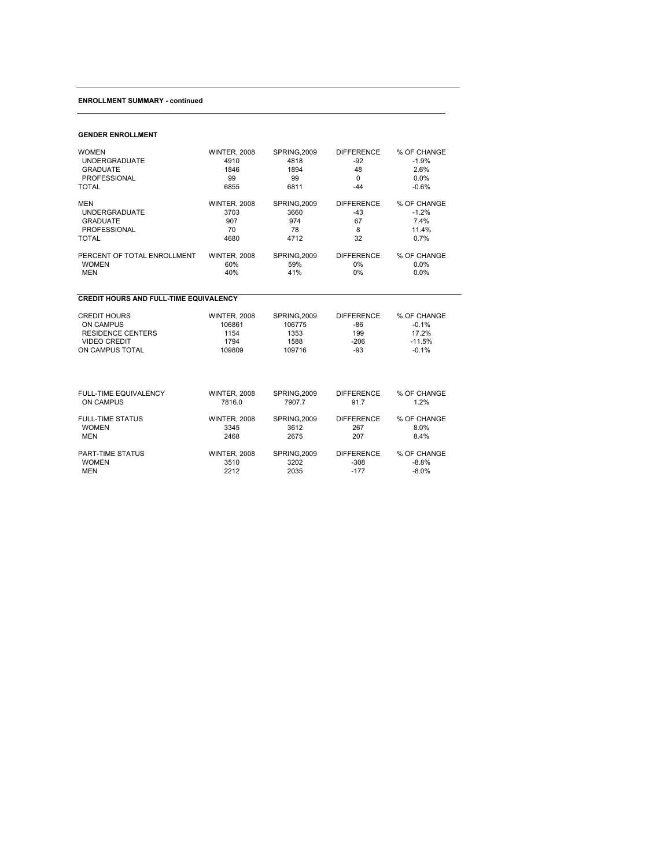#### **ENROLLMENT SUMMARY - continued**

### **GENDER ENROLLMENT**

| <b>WOMEN</b>                                  | <b>WINTER, 2008</b> | SPRING, 2009 | <b>DIFFERENCE</b> | % OF CHANGE |  |  |  |  |
|-----------------------------------------------|---------------------|--------------|-------------------|-------------|--|--|--|--|
| <b>UNDERGRADUATE</b>                          | 4910                | 4818         | $-92$             | $-1.9%$     |  |  |  |  |
| <b>GRADUATE</b>                               | 1846                | 1894         | 48                | 2.6%        |  |  |  |  |
| <b>PROFESSIONAL</b>                           | 99                  | 99           | $\mathbf 0$       | 0.0%        |  |  |  |  |
| <b>TOTAL</b>                                  | 6855                | 6811         | $-44$             | $-0.6%$     |  |  |  |  |
| <b>MEN</b>                                    | <b>WINTER, 2008</b> | SPRING, 2009 | <b>DIFFERENCE</b> | % OF CHANGE |  |  |  |  |
| <b>UNDERGRADUATE</b>                          | 3703                | 3660         | $-43$             | $-1.2%$     |  |  |  |  |
| <b>GRADUATE</b>                               | 907                 | 974          | 67                | 7.4%        |  |  |  |  |
| <b>PROFESSIONAL</b>                           | 70                  | 78           | 8                 | 11.4%       |  |  |  |  |
| <b>TOTAL</b>                                  | 4680                | 4712         | 32                | 0.7%        |  |  |  |  |
| PERCENT OF TOTAL ENROLLMENT                   | <b>WINTER, 2008</b> | SPRING, 2009 | <b>DIFFERENCE</b> | % OF CHANGE |  |  |  |  |
| <b>WOMEN</b>                                  | 60%                 | 59%          | 0%                | 0.0%        |  |  |  |  |
| <b>MEN</b>                                    | 40%                 | 41%          | 0%                | 0.0%        |  |  |  |  |
| <b>CREDIT HOURS AND FULL-TIME EQUIVALENCY</b> |                     |              |                   |             |  |  |  |  |
| <b>CREDIT HOURS</b>                           | <b>WINTER, 2008</b> | SPRING.2009  | <b>DIFFERENCE</b> | % OF CHANGE |  |  |  |  |
| ON CAMPUS                                     | 106861              | 106775       | $-86$             | $-0.1%$     |  |  |  |  |
| <b>RESIDENCE CENTERS</b>                      | 1154                | 1353         | 199               | 17.2%       |  |  |  |  |
| <b>VIDEO CREDIT</b>                           | 1794                | 1588         | $-206$            | $-11.5%$    |  |  |  |  |
| ON CAMPUS TOTAL                               | 109809              | 109716       | $-93$             | $-0.1%$     |  |  |  |  |
| FULL-TIME EQUIVALENCY                         | <b>WINTER, 2008</b> | SPRING.2009  | <b>DIFFERENCE</b> | % OF CHANGE |  |  |  |  |
| <b>ON CAMPUS</b>                              | 7816.0              | 7907.7       | 91.7              | 1.2%        |  |  |  |  |
| <b>FULL-TIME STATUS</b>                       | <b>WINTER, 2008</b> | SPRING, 2009 | <b>DIFFERENCE</b> | % OF CHANGE |  |  |  |  |
| <b>WOMEN</b>                                  | 3345                | 3612         | 267               | 8.0%        |  |  |  |  |
| <b>MEN</b>                                    | 2468                | 2675         | 207               | 8.4%        |  |  |  |  |
| <b>PART-TIME STATUS</b>                       | <b>WINTER, 2008</b> | SPRING, 2009 | <b>DIFFERENCE</b> | % OF CHANGE |  |  |  |  |
| <b>WOMEN</b>                                  | 3510                | 3202         | $-308$            | $-8.8%$     |  |  |  |  |
| <b>MEN</b>                                    | 2212                | 2035         | $-177$            | $-8.0%$     |  |  |  |  |